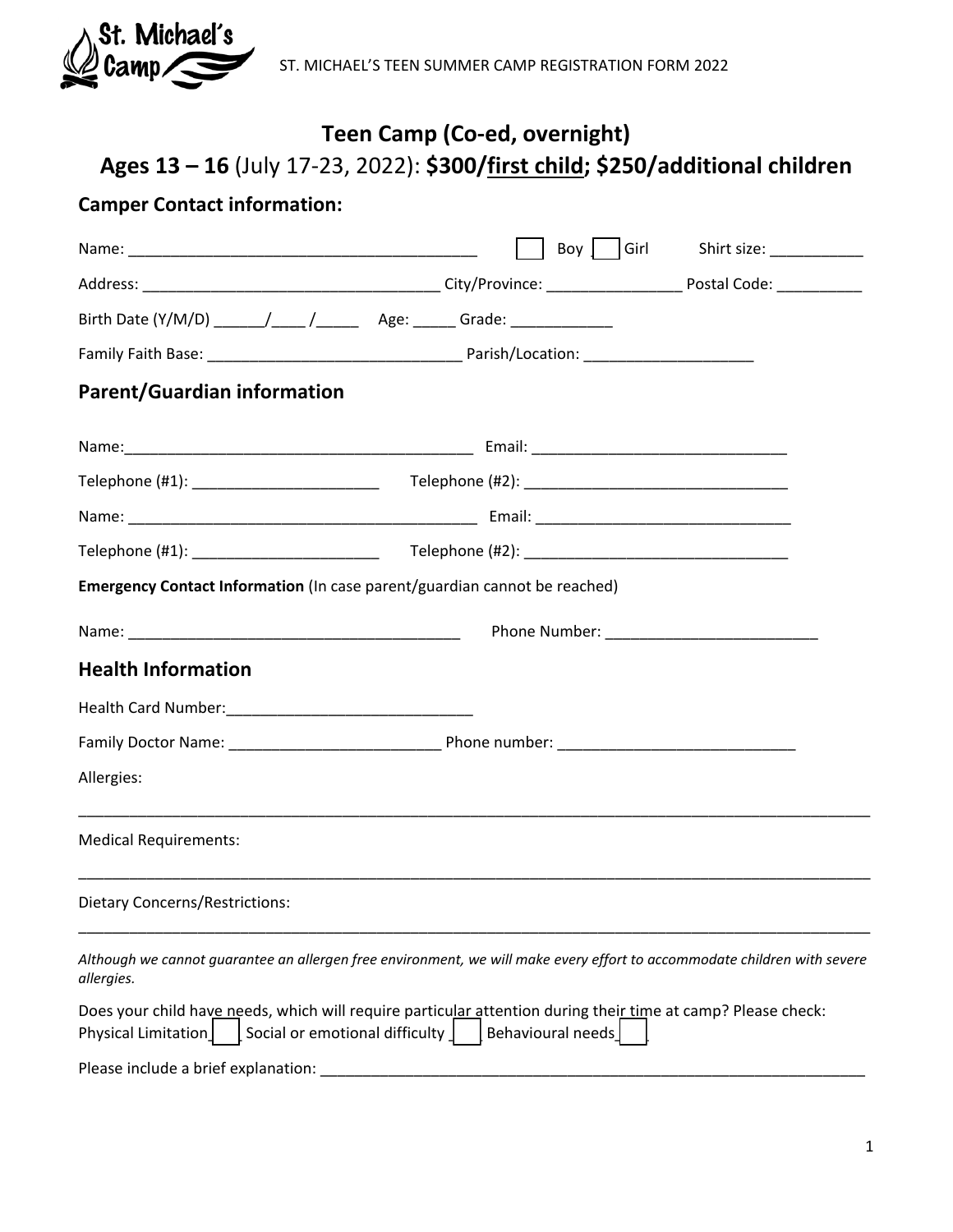

# **Teen Camp (Co-ed, overnight) Ages 13 – 16** (July 17-23, 2022): **\$300/first child; \$250/additional children**

## **Camper Contact information:**

|                                                                                                                                                                       |                   | Boy $\int$ Girl Shirt size: ___________ |
|-----------------------------------------------------------------------------------------------------------------------------------------------------------------------|-------------------|-----------------------------------------|
|                                                                                                                                                                       |                   |                                         |
|                                                                                                                                                                       |                   |                                         |
|                                                                                                                                                                       |                   |                                         |
| <b>Parent/Guardian information</b>                                                                                                                                    |                   |                                         |
|                                                                                                                                                                       |                   |                                         |
|                                                                                                                                                                       |                   |                                         |
|                                                                                                                                                                       |                   |                                         |
|                                                                                                                                                                       |                   |                                         |
| Emergency Contact Information (In case parent/guardian cannot be reached)                                                                                             |                   |                                         |
|                                                                                                                                                                       |                   |                                         |
| <b>Health Information</b>                                                                                                                                             |                   |                                         |
|                                                                                                                                                                       |                   |                                         |
|                                                                                                                                                                       |                   |                                         |
| Allergies:                                                                                                                                                            |                   |                                         |
| <b>Medical Requirements:</b>                                                                                                                                          |                   |                                         |
| <b>Dietary Concerns/Restrictions:</b>                                                                                                                                 |                   |                                         |
| Although we cannot guarantee an allergen free environment, we will make every effort to accommodate children with severe<br>allergies.                                |                   |                                         |
| Does your child have needs, which will require particular attention during their time at camp? Please check:<br>Physical Limitation<br>Social or emotional difficulty | Behavioural needs |                                         |
| Please include a brief explanation:                                                                                                                                   |                   |                                         |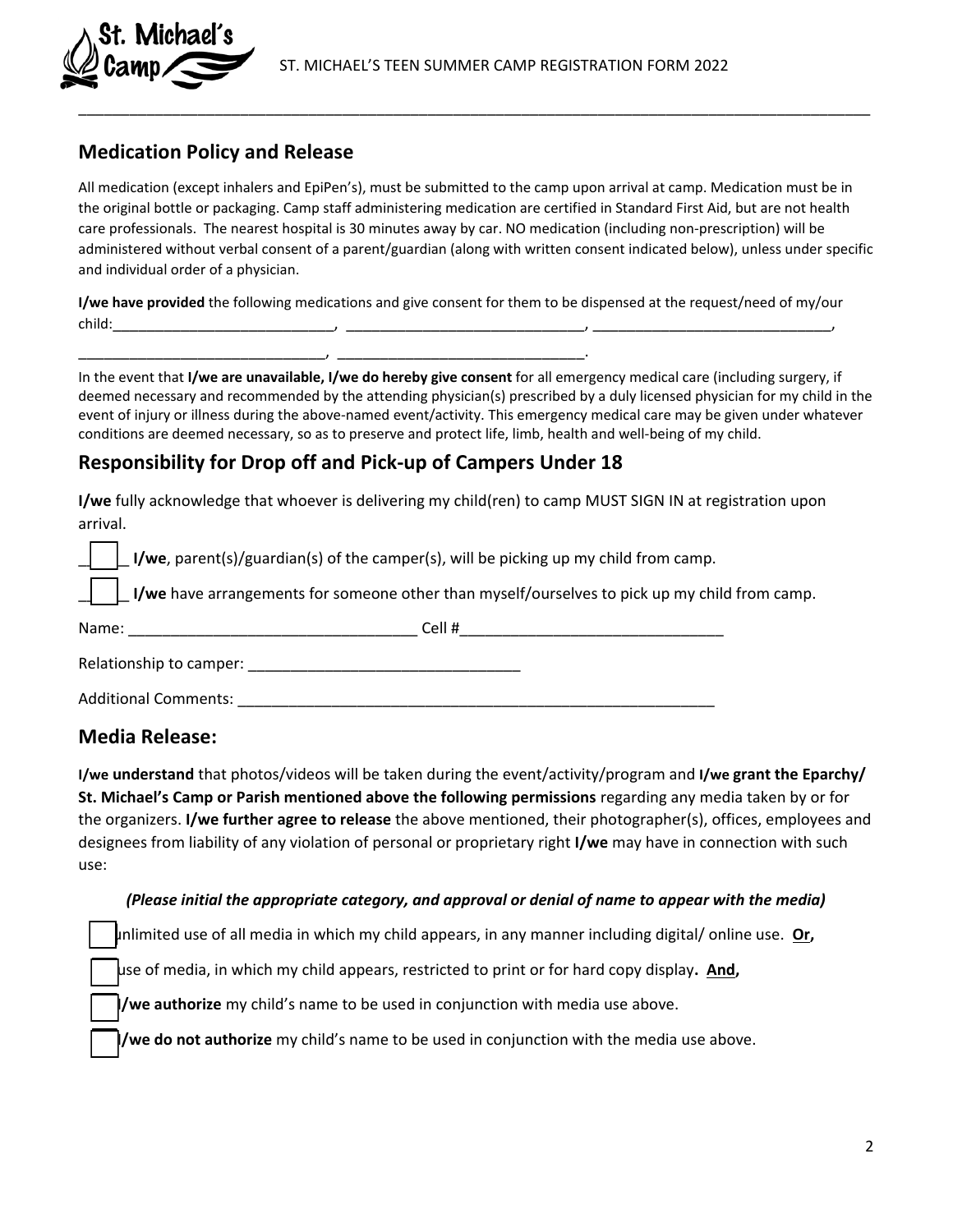

### **Medication Policy and Release**

Michael's

All medication (except inhalers and EpiPen's), must be submitted to the camp upon arrival at camp. Medication must be in the original bottle or packaging. Camp staff administering medication are certified in Standard First Aid, but are not health care professionals. The nearest hospital is 30 minutes away by car. NO medication (including non-prescription) will be administered without verbal consent of a parent/guardian (along with written consent indicated below), unless under specific and individual order of a physician.

\_\_\_\_\_\_\_\_\_\_\_\_\_\_\_\_\_\_\_\_\_\_\_\_\_\_\_\_\_\_\_\_\_\_\_\_\_\_\_\_\_\_\_\_\_\_\_\_\_\_\_\_\_\_\_\_\_\_\_\_\_\_\_\_\_\_\_\_\_\_\_\_\_\_\_\_\_\_\_\_\_\_\_\_\_\_\_\_\_\_\_\_\_

**I/we have provided** the following medications and give consent for them to be dispensed at the request/need of my/our child:\_\_\_\_\_\_\_\_\_\_\_\_\_\_\_\_\_\_\_\_\_\_\_\_\_\_, \_\_\_\_\_\_\_\_\_\_\_\_\_\_\_\_\_\_\_\_\_\_\_\_\_\_\_\_, \_\_\_\_\_\_\_\_\_\_\_\_\_\_\_\_\_\_\_\_\_\_\_\_\_\_\_\_,

In the event that **I/we are unavailable, I/we do hereby give consent** for all emergency medical care (including surgery, if deemed necessary and recommended by the attending physician(s) prescribed by a duly licensed physician for my child in the event of injury or illness during the above-named event/activity. This emergency medical care may be given under whatever conditions are deemed necessary, so as to preserve and protect life, limb, health and well-being of my child.

#### **Responsibility for Drop off and Pick-up of Campers Under 18**

\_\_\_\_\_\_\_\_\_\_\_\_\_\_\_\_\_\_\_\_\_\_\_\_\_\_\_\_\_, \_\_\_\_\_\_\_\_\_\_\_\_\_\_\_\_\_\_\_\_\_\_\_\_\_\_\_\_\_.

**I/we** fully acknowledge that whoever is delivering my child(ren) to camp MUST SIGN IN at registration upon arrival.

\_\_\_\_\_\_ **I/we**, parent(s)/guardian(s) of the camper(s), will be picking up my child from camp.

**I/we** have arrangements for someone other than myself/ourselves to pick up my child from camp.

| Name:                       | Cell# |
|-----------------------------|-------|
| Relationship to camper:     |       |
| <b>Additional Comments:</b> |       |

#### **Media Release:**

**I/we understand** that photos/videos will be taken during the event/activity/program and **I/we grant the Eparchy/ St. Michael's Camp or Parish mentioned above the following permissions** regarding any media taken by or for the organizers. **I/we further agree to release** the above mentioned, their photographer(s), offices, employees and designees from liability of any violation of personal or proprietary right **I/we** may have in connection with such use:

#### *(Please initial the appropriate category, and approval or denial of name to appear with the media)*

unlimited use of all media in which my child appears, in any manner including digital/ online use. **Or,**

use of media, in which my child appears, restricted to print or for hard copy display**. And,**

**I/we authorize** my child's name to be used in conjunction with media use above.

**I/we do not authorize** my child's name to be used in conjunction with the media use above.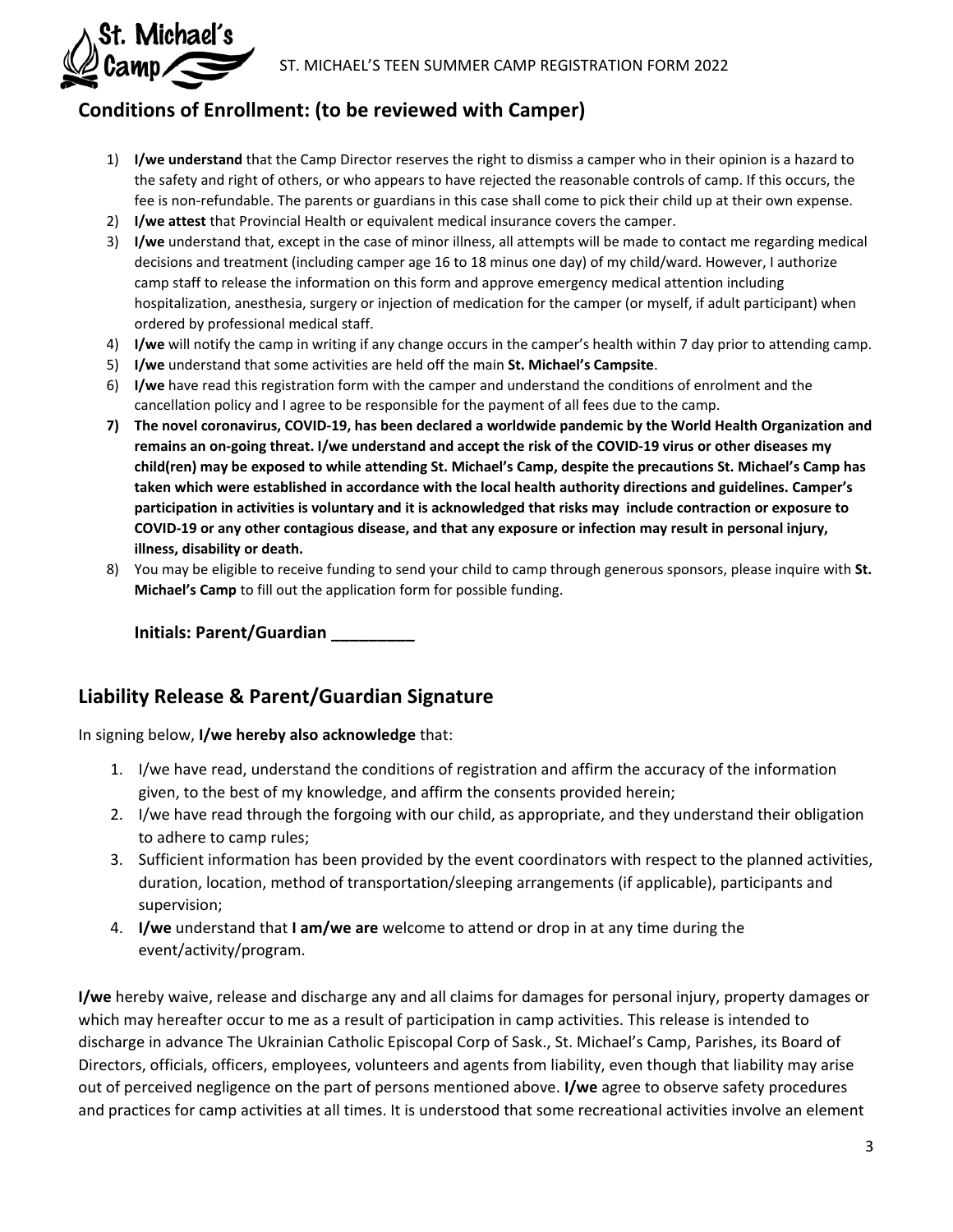

## **Conditions of Enrollment: (to be reviewed with Camper)**

- 1) **I/we understand** that the Camp Director reserves the right to dismiss a camper who in their opinion is a hazard to the safety and right of others, or who appears to have rejected the reasonable controls of camp. If this occurs, the fee is non-refundable. The parents or guardians in this case shall come to pick their child up at their own expense.
- 2) **I/we attest** that Provincial Health or equivalent medical insurance covers the camper.
- 3) **I/we** understand that, except in the case of minor illness, all attempts will be made to contact me regarding medical decisions and treatment (including camper age 16 to 18 minus one day) of my child/ward. However, I authorize camp staff to release the information on this form and approve emergency medical attention including hospitalization, anesthesia, surgery or injection of medication for the camper (or myself, if adult participant) when ordered by professional medical staff.
- 4) **I/we** will notify the camp in writing if any change occurs in the camper's health within 7 day prior to attending camp.
- 5) **I/we** understand that some activities are held off the main **St. Michael's Campsite**.
- 6) **I/we** have read this registration form with the camper and understand the conditions of enrolment and the cancellation policy and I agree to be responsible for the payment of all fees due to the camp.
- **7) The novel coronavirus, COVID-19, has been declared a worldwide pandemic by the World Health Organization and remains an on-going threat. I/we understand and accept the risk of the COVID-19 virus or other diseases my child(ren) may be exposed to while attending St. Michael's Camp, despite the precautions St. Michael's Camp has taken which were established in accordance with the local health authority directions and guidelines. Camper's participation in activities is voluntary and it is acknowledged that risks may include contraction or exposure to COVID-19 or any other contagious disease, and that any exposure or infection may result in personal injury, illness, disability or death.**
- 8) You may be eligible to receive funding to send your child to camp through generous sponsors, please inquire with **St. Michael's Camp** to fill out the application form for possible funding.

**Initials: Parent/Guardian \_\_\_\_\_\_\_\_\_** 

## **Liability Release & Parent/Guardian Signature**

In signing below, **I/we hereby also acknowledge** that:

- 1. I/we have read, understand the conditions of registration and affirm the accuracy of the information given, to the best of my knowledge, and affirm the consents provided herein;
- 2. I/we have read through the forgoing with our child, as appropriate, and they understand their obligation to adhere to camp rules;
- 3. Sufficient information has been provided by the event coordinators with respect to the planned activities, duration, location, method of transportation/sleeping arrangements (if applicable), participants and supervision;
- 4. **I/we** understand that **I am/we are** welcome to attend or drop in at any time during the event/activity/program.

**I/we** hereby waive, release and discharge any and all claims for damages for personal injury, property damages or which may hereafter occur to me as a result of participation in camp activities. This release is intended to discharge in advance The Ukrainian Catholic Episcopal Corp of Sask., St. Michael's Camp, Parishes, its Board of Directors, officials, officers, employees, volunteers and agents from liability, even though that liability may arise out of perceived negligence on the part of persons mentioned above. **I/we** agree to observe safety procedures and practices for camp activities at all times. It is understood that some recreational activities involve an element